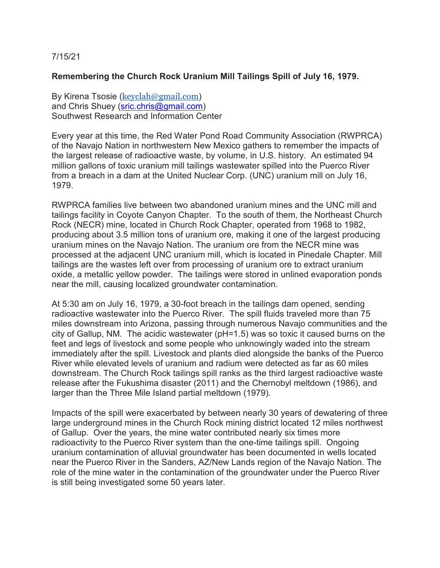## 7/15/21

## **Remembering the Church Rock Uranium Mill Tailings Spill of July 16, 1979.**

By Kirena Tsosie ([keyclah@gmail.com](mailto:keyclah@gmail.com)) and Chris Shuey [\(sric.chris@gmail.com\)](mailto:sric.chris@gmail.com) Southwest Research and Information Center

Every year at this time, the Red Water Pond Road Community Association (RWPRCA) of the Navajo Nation in northwestern New Mexico gathers to remember the impacts of the largest release of radioactive waste, by volume, in U.S. history. An estimated 94 million gallons of toxic uranium mill tailings wastewater spilled into the Puerco River from a breach in a dam at the United Nuclear Corp. (UNC) uranium mill on July 16, 1979.

RWPRCA families live between two abandoned uranium mines and the UNC mill and tailings facility in Coyote Canyon Chapter. To the south of them, the Northeast Church Rock (NECR) mine, located in Church Rock Chapter, operated from 1968 to 1982, producing about 3.5 million tons of uranium ore, making it one of the largest producing uranium mines on the Navajo Nation. The uranium ore from the NECR mine was processed at the adjacent UNC uranium mill, which is located in Pinedale Chapter. Mill tailings are the wastes left over from processing of uranium ore to extract uranium oxide, a metallic yellow powder. The tailings were stored in unlined evaporation ponds near the mill, causing localized groundwater contamination.

At 5:30 am on July 16, 1979, a 30-foot breach in the tailings dam opened, sending radioactive wastewater into the Puerco River. The spill fluids traveled more than 75 miles downstream into Arizona, passing through numerous Navajo communities and the city of Gallup, NM. The acidic wastewater (pH=1.5) was so toxic it caused burns on the feet and legs of livestock and some people who unknowingly waded into the stream immediately after the spill. Livestock and plants died alongside the banks of the Puerco River while elevated levels of uranium and radium were detected as far as 60 miles downstream. The Church Rock tailings spill ranks as the third largest radioactive waste release after the Fukushima disaster (2011) and the Chernobyl meltdown (1986), and larger than the Three Mile Island partial meltdown (1979).

Impacts of the spill were exacerbated by between nearly 30 years of dewatering of three large underground mines in the Church Rock mining district located 12 miles northwest of Gallup. Over the years, the mine water contributed nearly six times more radioactivity to the Puerco River system than the one-time tailings spill. Ongoing uranium contamination of alluvial groundwater has been documented in wells located near the Puerco River in the Sanders, AZ/New Lands region of the Navajo Nation. The role of the mine water in the contamination of the groundwater under the Puerco River is still being investigated some 50 years later.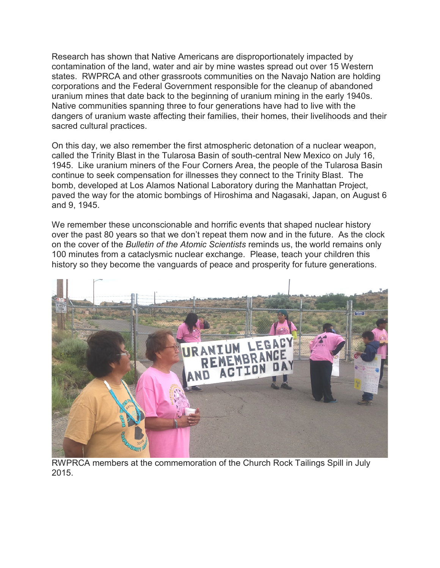Research has shown that Native Americans are disproportionately impacted by contamination of the land, water and air by mine wastes spread out over 15 Western states. RWPRCA and other grassroots communities on the Navajo Nation are holding corporations and the Federal Government responsible for the cleanup of abandoned uranium mines that date back to the beginning of uranium mining in the early 1940s. Native communities spanning three to four generations have had to live with the dangers of uranium waste affecting their families, their homes, their livelihoods and their sacred cultural practices.

On this day, we also remember the first atmospheric detonation of a nuclear weapon, called the Trinity Blast in the Tularosa Basin of south-central New Mexico on July 16, 1945. Like uranium miners of the Four Corners Area, the people of the Tularosa Basin continue to seek compensation for illnesses they connect to the Trinity Blast. The bomb, developed at Los Alamos National Laboratory during the Manhattan Project, paved the way for the atomic bombings of Hiroshima and Nagasaki, Japan, on August 6 and 9, 1945.

We remember these unconscionable and horrific events that shaped nuclear history over the past 80 years so that we don't repeat them now and in the future. As the clock on the cover of the *Bulletin of the Atomic Scientists* reminds us, the world remains only 100 minutes from a cataclysmic nuclear exchange. Please, teach your children this history so they become the vanguards of peace and prosperity for future generations.



RWPRCA members at the commemoration of the Church Rock Tailings Spill in July 2015.